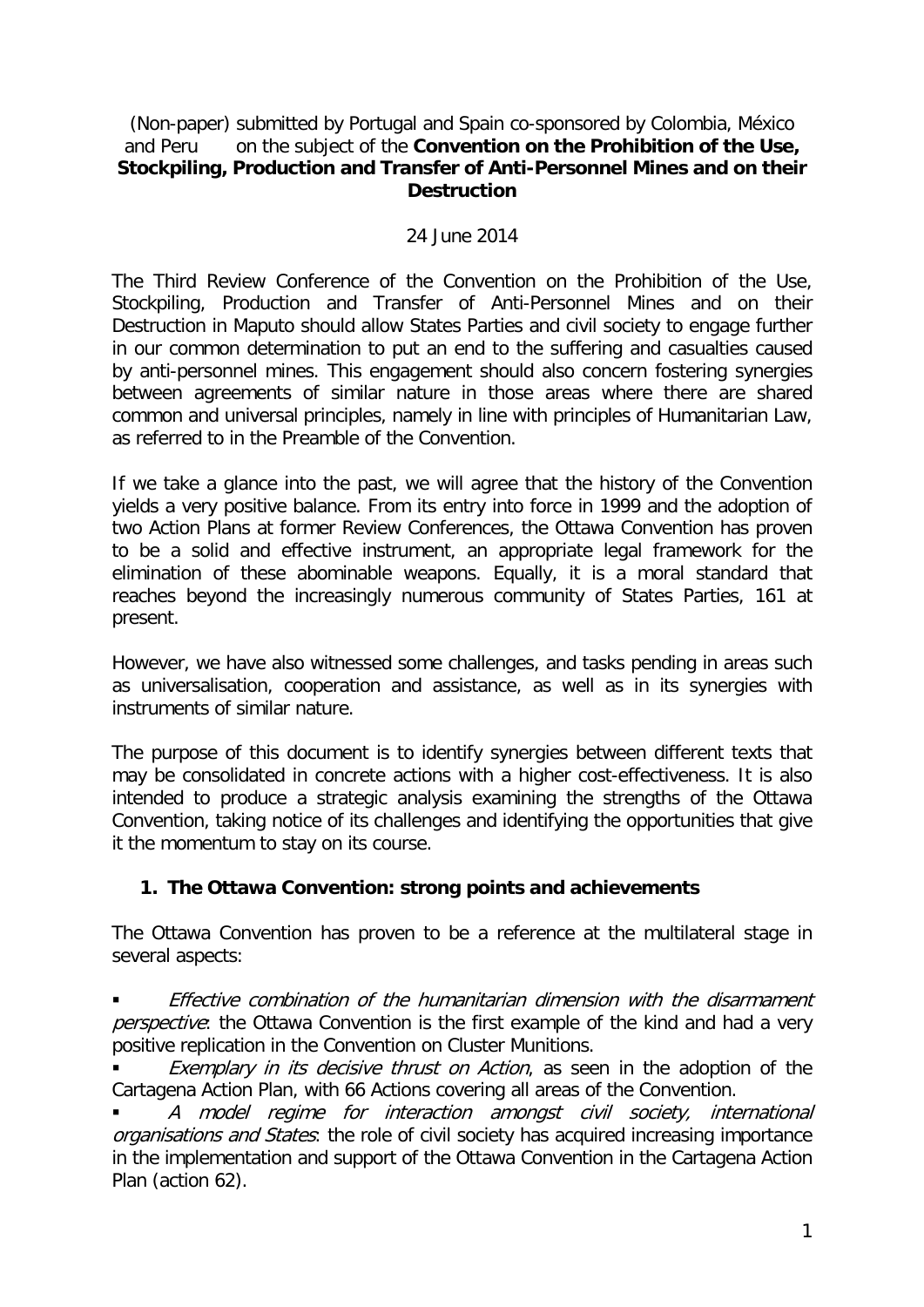#### (Non-paper) submitted by Portugal and Spain co-sponsored by Colombia, México and Peru on the subject of the **Convention on the Prohibition of the Use, Stockpiling, Production and Transfer of Anti-Personnel Mines and on their Destruction**

### 24 June 2014

The Third Review Conference of the Convention on the Prohibition of the Use, Stockpiling, Production and Transfer of Anti-Personnel Mines and on their Destruction in Maputo should allow States Parties and civil society to engage further in our common determination to put an end to the suffering and casualties caused by anti-personnel mines. This engagement should also concern fostering synergies between agreements of similar nature in those areas where there are shared common and universal principles, namely in line with principles of Humanitarian Law, as referred to in the Preamble of the Convention.

If we take a glance into the past, we will agree that the history of the Convention yields a very positive balance. From its entry into force in 1999 and the adoption of two Action Plans at former Review Conferences, the Ottawa Convention has proven to be a solid and effective instrument, an appropriate legal framework for the elimination of these abominable weapons. Equally, it is a moral standard that reaches beyond the increasingly numerous community of States Parties, 161 at present.

However, we have also witnessed some challenges, and tasks pending in areas such as universalisation, cooperation and assistance, as well as in its synergies with instruments of similar nature.

The purpose of this document is to identify synergies between different texts that may be consolidated in concrete actions with a higher cost-effectiveness. It is also intended to produce a strategic analysis examining the strengths of the Ottawa Convention, taking notice of its challenges and identifying the opportunities that give it the momentum to stay on its course.

## **1. The Ottawa Convention: strong points and achievements**

The Ottawa Convention has proven to be a reference at the multilateral stage in several aspects:

 Effective combination of the humanitarian dimension with the disarmament perspective: the Ottawa Convention is the first example of the kind and had a very positive replication in the Convention on Cluster Munitions.

Exemplary in its decisive thrust on Action, as seen in the adoption of the Cartagena Action Plan, with 66 Actions covering all areas of the Convention.

 A model regime for interaction amongst civil society, international organisations and States: the role of civil society has acquired increasing importance in the implementation and support of the Ottawa Convention in the Cartagena Action Plan (action 62).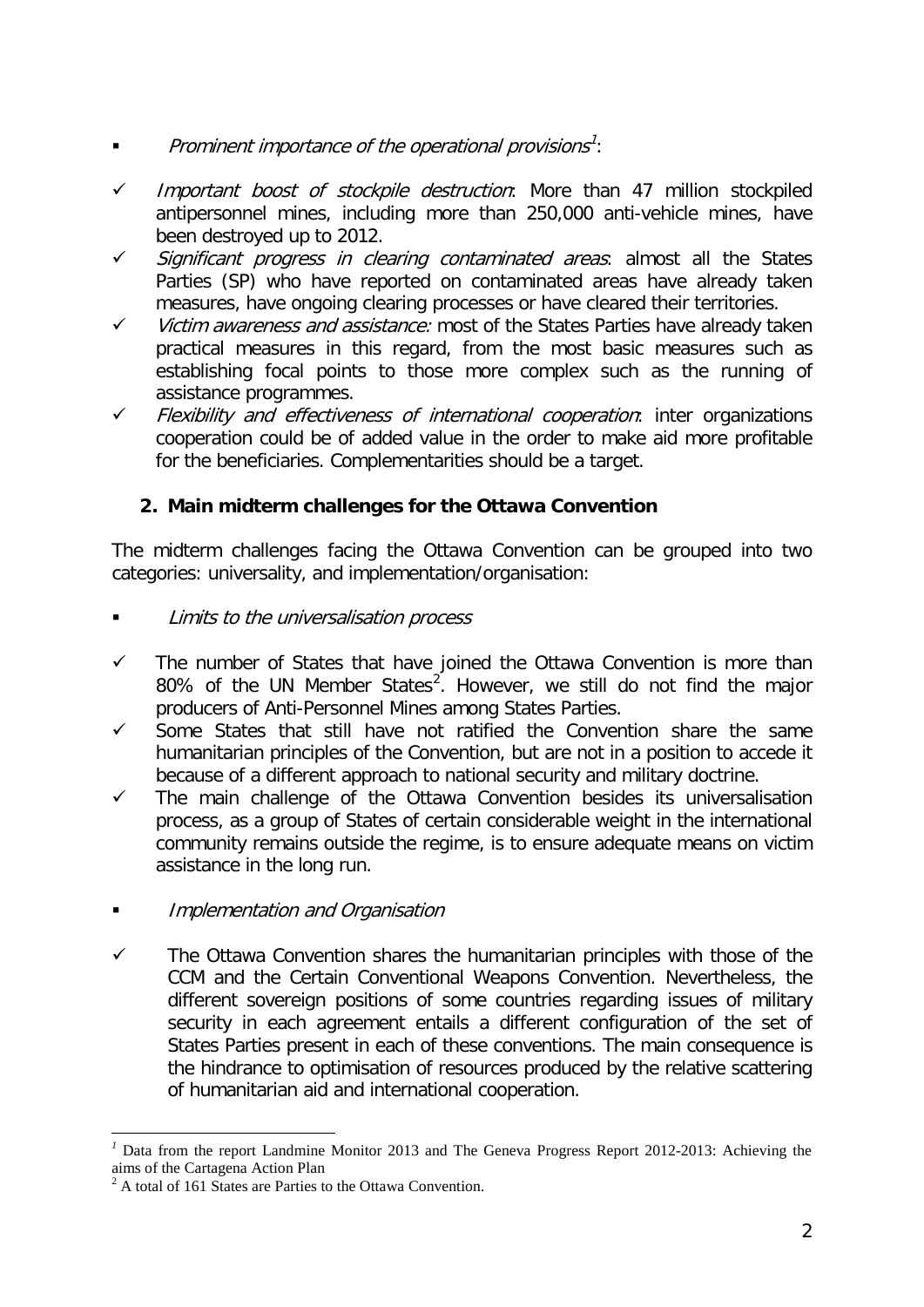- Prominent importance of the operational provisions<sup>[1](#page-1-0)</sup>:
- $\checkmark$  Important boost of stockpile destruction: More than 47 million stockpiled antipersonnel mines, including more than 250,000 anti-vehicle mines, have been destroyed up to 2012.
- Significant progress in clearing contaminated areas: almost all the States Parties (SP) who have reported on contaminated areas have already taken measures, have ongoing clearing processes or have cleared their territories.
- $\checkmark$  Victim awareness and assistance: most of the States Parties have already taken practical measures in this regard, from the most basic measures such as establishing focal points to those more complex such as the running of assistance programmes.
- $\checkmark$  Flexibility and effectiveness of international cooperation: inter organizations cooperation could be of added value in the order to make aid more profitable for the beneficiaries. Complementarities should be a target.

# **2. Main midterm challenges for the Ottawa Convention**

The midterm challenges facing the Ottawa Convention can be grouped into two categories: universality, and implementation/organisation:

- Limits to the universalisation process
- $\checkmark$  The number of States that have joined the Ottawa Convention is more than 80% of the UN Member States<sup>[2](#page-1-1)</sup>. However, we still do not find the major producers of Anti-Personnel Mines among States Parties.
- $\checkmark$  Some States that still have not ratified the Convention share the same humanitarian principles of the Convention, but are not in a position to accede it because of a different approach to national security and military doctrine.
- $\checkmark$  The main challenge of the Ottawa Convention besides its universalisation process, as a group of States of certain considerable weight in the international community remains outside the regime, is to ensure adequate means on victim assistance in the long run.
- Implementation and Organisation
- $\checkmark$  The Ottawa Convention shares the humanitarian principles with those of the CCM and the Certain Conventional Weapons Convention. Nevertheless, the different sovereign positions of some countries regarding issues of military security in each agreement entails a different configuration of the set of States Parties present in each of these conventions. The main consequence is the hindrance to optimisation of resources produced by the relative scattering of humanitarian aid and international cooperation.

<span id="page-1-0"></span>Data from the report Landmine Monitor 2013 and The Geneva Progress Report 2012-2013: Achieving the aims of the Cartagena Action Plan

<span id="page-1-1"></span> $2^2$  A total of 161 States are Parties to the Ottawa Convention.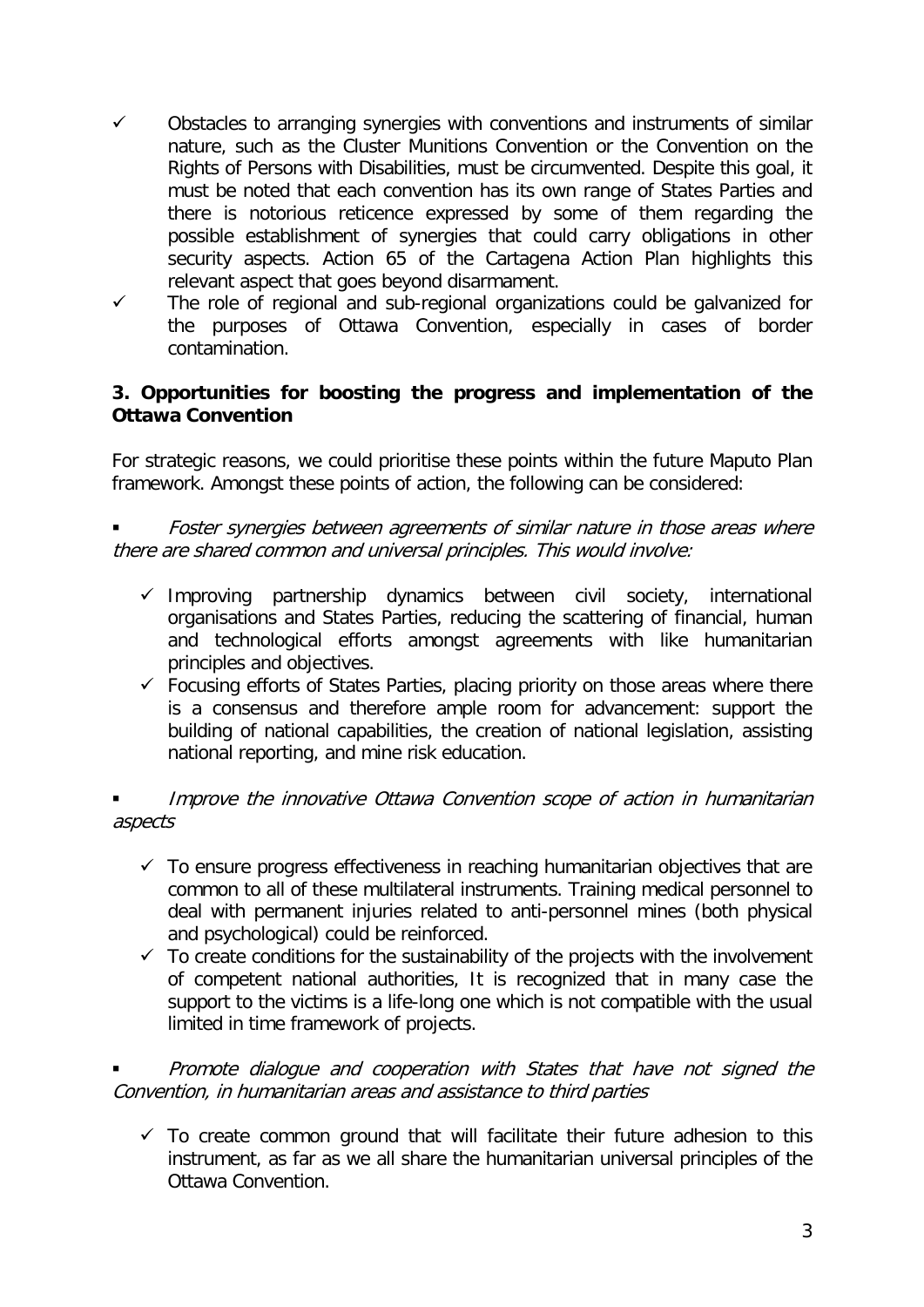- $\checkmark$  Obstacles to arranging synergies with conventions and instruments of similar nature, such as the Cluster Munitions Convention or the Convention on the Rights of Persons with Disabilities, must be circumvented. Despite this goal, it must be noted that each convention has its own range of States Parties and there is notorious reticence expressed by some of them regarding the possible establishment of synergies that could carry obligations in other security aspects. Action 65 of the Cartagena Action Plan highlights this relevant aspect that goes beyond disarmament.
- $\checkmark$  The role of regional and sub-regional organizations could be galvanized for the purposes of Ottawa Convention, especially in cases of border contamination.

## **3. Opportunities for boosting the progress and implementation of the Ottawa Convention**

For strategic reasons, we could prioritise these points within the future Maputo Plan framework. Amongst these points of action, the following can be considered:

 Foster synergies between agreements of similar nature in those areas where there are shared common and universal principles. This would involve:

- $\checkmark$  Improving partnership dynamics between civil society, international organisations and States Parties, reducing the scattering of financial, human and technological efforts amongst agreements with like humanitarian principles and objectives.
- $\checkmark$  Focusing efforts of States Parties, placing priority on those areas where there is a consensus and therefore ample room for advancement: support the building of national capabilities, the creation of national legislation, assisting national reporting, and mine risk education.

## Improve the innovative Ottawa Convention scope of action in humanitarian aspects

- $\checkmark$  To ensure progress effectiveness in reaching humanitarian objectives that are common to all of these multilateral instruments. Training medical personnel to deal with permanent injuries related to anti-personnel mines (both physical and psychological) could be reinforced.
- $\checkmark$  To create conditions for the sustainability of the projects with the involvement of competent national authorities, It is recognized that in many case the support to the victims is a life-long one which is not compatible with the usual limited in time framework of projects.

 Promote dialogue and cooperation with States that have not signed the Convention, in humanitarian areas and assistance to third parties

 $\checkmark$  To create common ground that will facilitate their future adhesion to this instrument, as far as we all share the humanitarian universal principles of the Ottawa Convention.